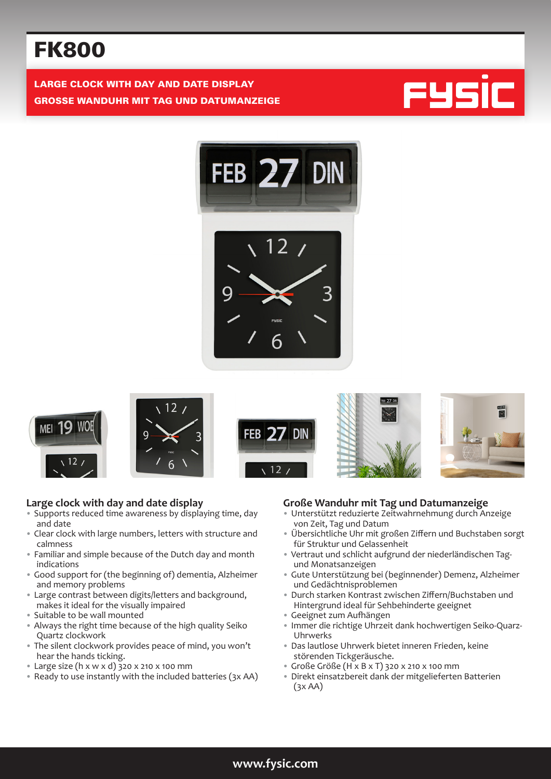# FK800

LARGE CLOCK WITH DAY AND DATE DISPLAY GROSSE WANDUHR MIT TAG UND DATUMANZEIGE















#### **Large clock with day and date display**

- Supports reduced time awareness by displaying time, day and date
- Clear clock with large numbers, letters with structure and calmness
- Familiar and simple because of the Dutch day and month indications
- Good support for (the beginning of) dementia, Alzheimer and memory problems
- Large contrast between digits/letters and background, makes it ideal for the visually impaired
- Suitable to be wall mounted
- Always the right time because of the high quality Seiko Quartz clockwork
- The silent clockwork provides peace of mind, you won't hear the hands ticking.
- Large size (h x w x d) 320 x 210 x 100 mm
- Ready to use instantly with the included batteries (3x AA)

#### **Große Wanduhr mit Tag und Datumanzeige**

- Unterstützt reduzierte Zeitwahrnehmung durch Anzeige von Zeit, Tag und Datum
- Übersichtliche Uhr mit großen Ziffern und Buchstaben sorgt für Struktur und Gelassenheit
- Vertraut und schlicht aufgrund der niederländischen Tagund Monatsanzeigen
- Gute Unterstützung bei (beginnender) Demenz, Alzheimer und Gedächtnisproblemen
- Durch starken Kontrast zwischen Ziffern/Buchstaben und Hintergrund ideal für Sehbehinderte geeignet
- Geeignet zum Aufhängen
- Immer die richtige Uhrzeit dank hochwertigen Seiko-Quarz-Uhrwerks
- Das lautlose Uhrwerk bietet inneren Frieden, keine störenden Tickgeräusche.
- Große Größe (H x B x T) 320 x 210 x 100 mm
- Direkt einsatzbereit dank der mitgelieferten Batterien  $(3x AA)$

## **www.fysic.com**